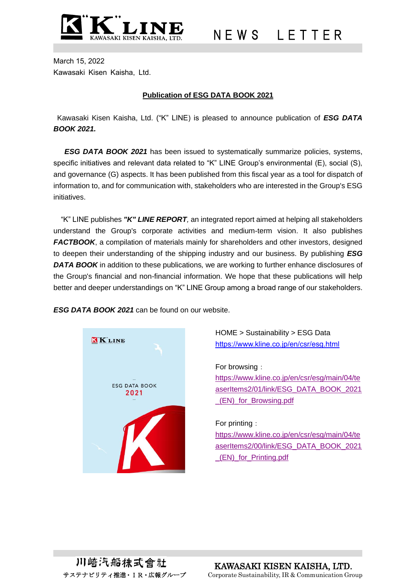

March 15, 2022 Kawasaki Kisen Kaisha, Ltd.

# **Publication of ESG DATA BOOK 2021**

Kawasaki Kisen Kaisha, Ltd. ("K" LINE) is pleased to announce publication of *ESG DATA BOOK 2021.*

*ESG DATA BOOK 2021* has been issued to systematically summarize policies, systems, specific initiatives and relevant data related to "K" LINE Group's environmental (E), social (S), and governance (G) aspects. It has been published from this fiscal year as a tool for dispatch of information to, and for communication with, stakeholders who are interested in the Group's ESG initiatives.

"K" LINE publishes *"K" LINE REPORT,* an integrated report aimed at helping all stakeholders understand the Group's corporate activities and medium-term vision. It also publishes *FACTBOOK*, a compilation of materials mainly for shareholders and other investors, designed to deepen their understanding of the shipping industry and our business. By publishing *ESG DATA BOOK* in addition to these publications*,* we are working to further enhance disclosures of the Group's financial and non-financial information. We hope that these publications will help better and deeper understandings on "K" LINE Group among a broad range of our stakeholders.

*ESG DATA BOOK 2021* can be found on our website.



HOME > Sustainability > ESG Data <https://www.kline.co.jp/en/csr/esg.html>

For browsing: [https://www.kline.co.jp/en/csr/esg/main/04/te](https://www.kline.co.jp/en/csr/esg/main/04/teaserItems2/01/link/ESG_DATA_BOOK_2021_(EN)_for_Browsing.pdf) [aserItems2/01/link/ESG\\_DATA\\_BOOK\\_2021](https://www.kline.co.jp/en/csr/esg/main/04/teaserItems2/01/link/ESG_DATA_BOOK_2021_(EN)_for_Browsing.pdf) [\\_\(EN\)\\_for\\_Browsing.pdf](https://www.kline.co.jp/en/csr/esg/main/04/teaserItems2/01/link/ESG_DATA_BOOK_2021_(EN)_for_Browsing.pdf)

#### For printing:

[https://www.kline.co.jp/en/csr/esg/main/04/te](https://www.kline.co.jp/en/csr/esg/main/04/teaserItems2/00/link/ESG_DATA_BOOK_2021_(EN)_for_Printing.pdf) [aserItems2/00/link/ESG\\_DATA\\_BOOK\\_2021](https://www.kline.co.jp/en/csr/esg/main/04/teaserItems2/00/link/ESG_DATA_BOOK_2021_(EN)_for_Printing.pdf) [\\_\(EN\)\\_for\\_Printing.pdf](https://www.kline.co.jp/en/csr/esg/main/04/teaserItems2/00/link/ESG_DATA_BOOK_2021_(EN)_for_Printing.pdf)